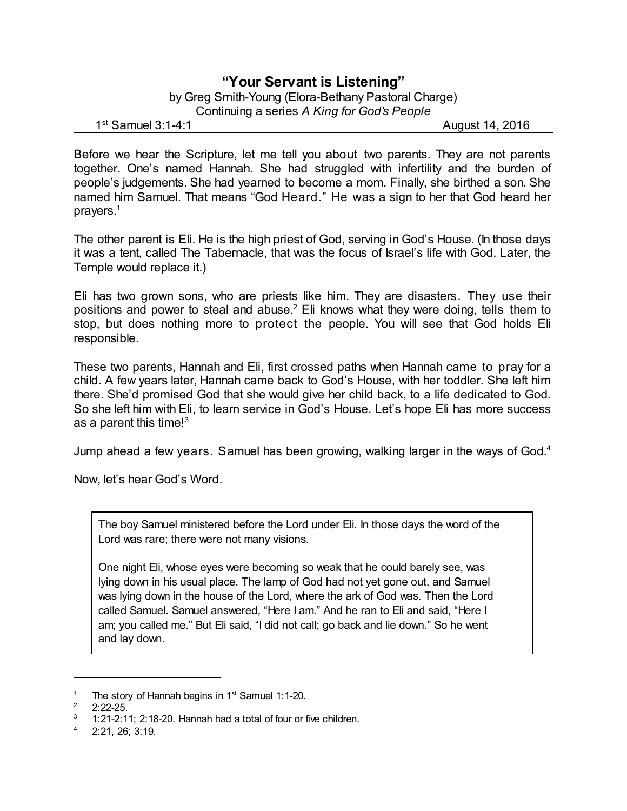## **"Your Servant is Listening"**

by Greg Smith-Young (Elora-Bethany Pastoral Charge) Continuing a series *A King for God's People*

 $1<sup>st</sup>$  Samuel 3:1-4:1

August 14, 2016

Before we hear the Scripture, let me tell you about two parents. They are not parents together. One's named Hannah. She had struggled with infertility and the burden of people's judgements. She had yearned to become a mom. Finally, she birthed a son. She named him Samuel. That means "God Heard." He was a sign to her that God heard her prayers.<sup>1</sup>

The other parent is Eli. He is the high priest of God, serving in God's House. (In those days it was a tent, called The Tabernacle, that was the focus of Israel's life with God. Later, the Temple would replace it.)

Eli has two grown sons, who are priests like him. They are disasters. They use their positions and power to steal and abuse.<sup>2</sup> Eli knows what they were doing, tells them to stop, but does nothing more to protect the people. You will see that God holds Eli responsible.

These two parents, Hannah and Eli, first crossed paths when Hannah came to pray for a child. A few years later, Hannah came back to God's House, with her toddler. She left him there. She'd promised God that she would give her child back, to a life dedicated to God. So she left him with Eli, to learn service in God's House. Let's hope Eli has more success as a parent this time! $3$ 

Jump ahead a few years. Samuel has been growing, walking larger in the ways of God.<sup>4</sup>

Now, let's hear God's Word.

The boy Samuel ministered before the Lord under Eli. In those days the word of the Lord was rare; there were not many visions.

One night Eli, whose eyes were becoming so weak that he could barely see, was lying down in his usual place. The lamp of God had not yet gone out, and Samuel was lying down in the house of the Lord, where the ark of God was. Then the Lord called Samuel. Samuel answered, "Here I am." And he ran to Eli and said, "Here I am; you called me." But Eli said, "I did not call; go back and lie down." So he went and lay down.

<sup>&</sup>lt;sup>1</sup> The story of Hannah begins in  $1<sup>st</sup>$  Samuel 1:1-20.

 $2:22-25$ .

<sup>3</sup> 1:21-2:11; 2:18-20. Hannah had a total of four or five children.

 $4$  2:21, 26; 3:19.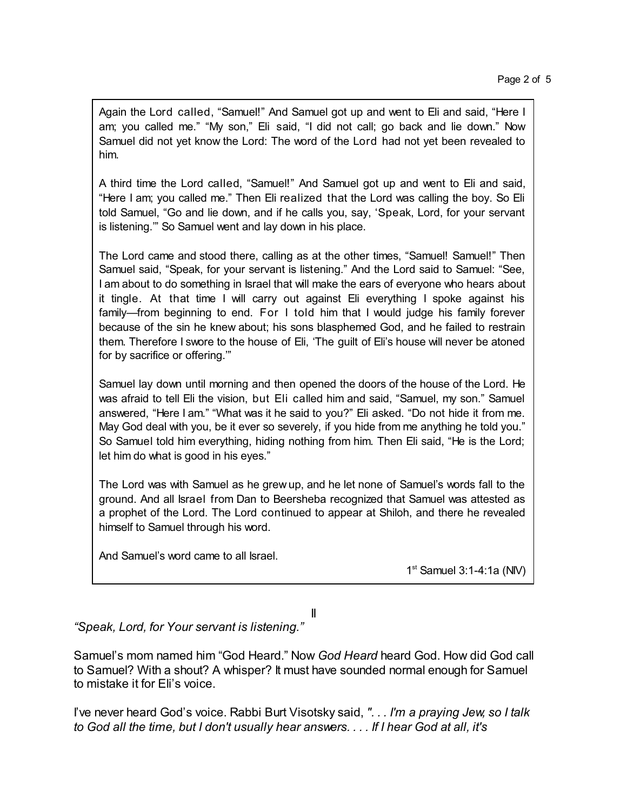Again the Lord called, "Samuel!" And Samuel got up and went to Eli and said, "Here I am; you called me." "My son," Eli said, "I did not call; go back and lie down." Now Samuel did not yet know the Lord: The word of the Lord had not yet been revealed to him.

A third time the Lord called, "Samuel!" And Samuel got up and went to Eli and said, "Here I am; you called me." Then Eli realized that the Lord was calling the boy. So Eli told Samuel, "Go and lie down, and if he calls you, say, 'Speak, Lord, for your servant is listening.'" So Samuel went and lay down in his place.

The Lord came and stood there, calling as at the other times, "Samuel! Samuel!" Then Samuel said, "Speak, for your servant is listening." And the Lord said to Samuel: "See, I am about to do something in Israel that will make the ears of everyone who hears about it tingle. At that time I will carry out against Eli everything I spoke against his family—from beginning to end. For I told him that I would judge his family forever because of the sin he knew about; his sons blasphemed God, and he failed to restrain them. Therefore I swore to the house of Eli, 'The guilt of Eli's house will never be atoned for by sacrifice or offering.'"

Samuel lay down until morning and then opened the doors of the house of the Lord. He was afraid to tell Eli the vision, but Eli called him and said, "Samuel, my son." Samuel answered, "Here I am." "What was it he said to you?" Eli asked. "Do not hide it from me. May God deal with you, be it ever so severely, if you hide from me anything he told you." So Samuel told him everything, hiding nothing from him. Then Eli said, "He is the Lord; let him do what is good in his eyes."

The Lord was with Samuel as he grew up, and he let none of Samuel's words fall to the ground. And all Israel from Dan to Beersheba recognized that Samuel was attested as a prophet of the Lord. The Lord continued to appear at Shiloh, and there he revealed himself to Samuel through his word.

And Samuel's word came to all Israel.

1 st Samuel 3:1-4:1a (NIV)

II

*"Speak, Lord, for Your servant is listening."*

Samuel's mom named him "God Heard." Now *God Heard* heard God. How did God call to Samuel? With a shout? A whisper? It must have sounded normal enough for Samuel to mistake it for Eli's voice.

I've never heard God's voice. Rabbi Burt Visotsky said, *". . . I'm a praying Jew, so I talk to God all the time, but I don't usually hear answers. . . . If I hear God at all, it's*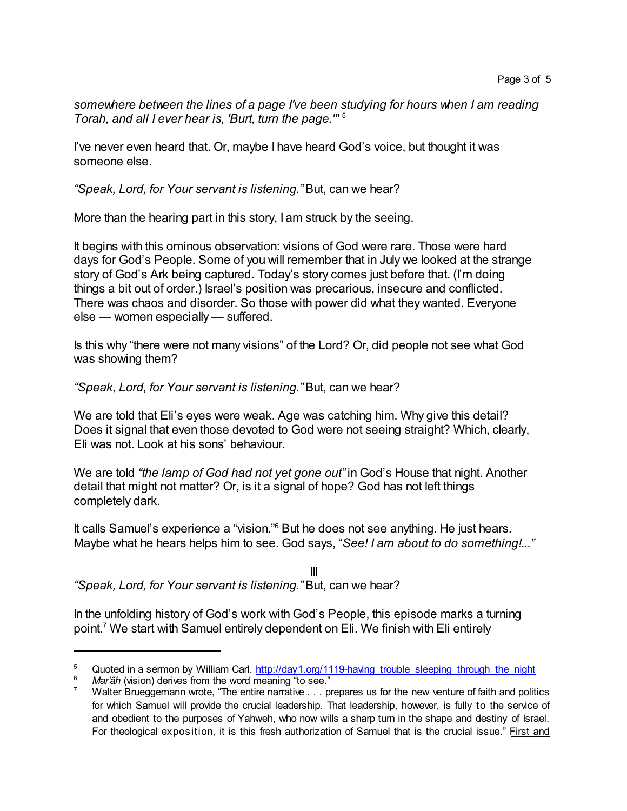*somewhere between the lines of a page I've been studying for hours when I am reading Torah, and all I ever hear is, 'Burt, turn the page.'"* 5

I've never even heard that. Or, maybe I have heard God's voice, but thought it was someone else.

*"Speak, Lord, for Your servant is listening."*But, can we hear?

More than the hearing part in this story, I am struck by the seeing.

It begins with this ominous observation: visions of God were rare. Those were hard days for God's People. Some of you will remember that in July we looked at the strange story of God's Ark being captured. Today's story comes just before that. (I'm doing things a bit out of order.) Israel's position was precarious, insecure and conflicted. There was chaos and disorder. So those with power did what they wanted. Everyone else — women especially — suffered.

Is this why "there were not many visions" of the Lord? Or, did people not see what God was showing them?

*"Speak, Lord, for Your servant is listening."*But, can we hear?

We are told that Eli's eyes were weak. Age was catching him. Why give this detail? Does it signal that even those devoted to God were not seeing straight? Which, clearly, Eli was not. Look at his sons' behaviour.

We are told *"the lamp of God had not yet gone out"*in God's House that night. Another detail that might not matter? Or, is it a signal of hope? God has not left things completely dark.

It calls Samuel's experience a "vision."<sup>6</sup> But he does not see anything. He just hears. Maybe what he hears helps him to see. God says, "*See! I am about to do something!..."*

III *"Speak, Lord, for Your servant is listening."*But, can we hear?

In the unfolding history of God's work with God's People, this episode marks a turning point. <sup>7</sup> We start with Samuel entirely dependent on Eli. We finish with Eli entirely

<sup>&</sup>lt;sup>5</sup> Quoted in a sermon by William Carl. [http://day1.org/1119-having\\_trouble\\_sleeping\\_through\\_the\\_night](http://day1.org/1119-having_trouble_sleeping_through_the_night)

Mar'âh (vision) derives from the word meaning "to see."

Walter Brueggemann wrote, "The entire narrative . . . prepares us for the new venture of faith and politics for which Samuel will provide the crucial leadership. That leadership, however, is fully to the service of and obedient to the purposes of Yahweh, who now wills a sharp turn in the shape and destiny of Israel. For theological exposition, it is this fresh authorization of Samuel that is the crucial issue." First and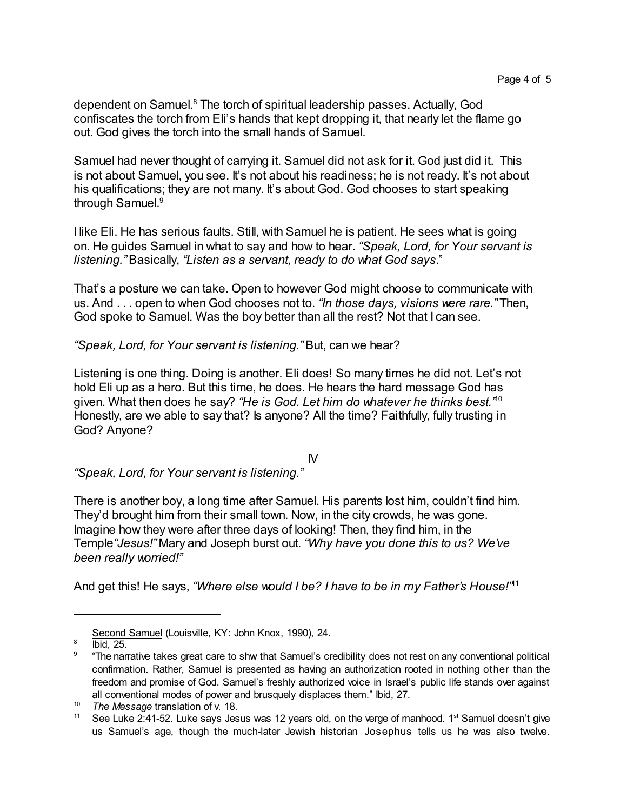dependent on Samuel.<sup>8</sup> The torch of spiritual leadership passes. Actually, God confiscates the torch from Eli's hands that kept dropping it, that nearly let the flame go out. God gives the torch into the small hands of Samuel.

Samuel had never thought of carrying it. Samuel did not ask for it. God just did it. This is not about Samuel, you see. It's not about his readiness; he is not ready. It's not about his qualifications; they are not many. It's about God. God chooses to start speaking through Samuel. 9

I like Eli. He has serious faults. Still, with Samuel he is patient. He sees what is going on. He guides Samuel in what to say and how to hear. *"Speak, Lord, for Your servant is listening."* Basically, *"Listen as a servant, ready to do what God says*."

That's a posture we can take. Open to however God might choose to communicate with us. And . . . open to when God chooses not to. *"In those days, visions were rare."* Then, God spoke to Samuel. Was the boy better than all the rest? Not that I can see.

*"Speak, Lord, for Your servant is listening."*But, can we hear?

Listening is one thing. Doing is another. Eli does! So many times he did not. Let's not hold Eli up as a hero. But this time, he does. He hears the hard message God has given. What then does he say? *"He is God. Let him do whatever he thinks best."* 10 Honestly, are we able to say that? Is anyone? All the time? Faithfully, fully trusting in God? Anyone?

IV

*"Speak, Lord, for Your servant is listening."*

There is another boy, a long time after Samuel. His parents lost him, couldn't find him. They'd brought him from their small town. Now, in the city crowds, he was gone. Imagine how they were after three days of looking! Then, they find him, in the Temple*"Jesus!"* Mary and Joseph burst out. *"Why have you done this to us? We've been really worried!"*

And get this! He says, *"Where else would I be? I have to be in my Father's House!"* 11

Second Samuel (Louisville, KY: John Knox, 1990), 24.

<sup>8</sup> Ibid, 25.

<sup>9</sup> "The narrative takes great care to shw that Samuel's credibility does not rest on any conventional political confirmation. Rather, Samuel is presented as having an authorization rooted in nothing other than the freedom and promise of God. Samuel's freshly authorized voice in Israel's public life stands over against all conventional modes of power and brusquely displaces them." Ibid, 27.

<sup>10</sup> *The Message* translation of v. 18.

<sup>&</sup>lt;sup>11</sup> See Luke 2:41-52. Luke says Jesus was 12 years old, on the verge of manhood. 1<sup>st</sup> Samuel doesn't give us Samuel's age, though the much-later Jewish historian Josephus tells us he was also twelve.